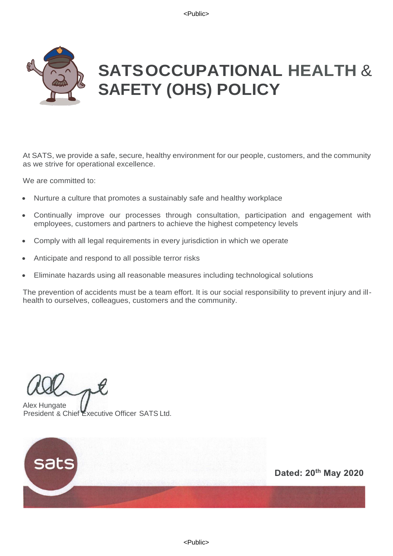

# **SATSOCCUPATIONAL HEALTH** & **SAFETY (OHS) POLICY**

At SATS, we provide a safe, secure, healthy environment for our people, customers, and the community as we strive for operational excellence.

We are committed to:

- Nurture a culture that promotes a sustainably safe and healthy workplace
- Continually improve our processes through consultation, participation and engagement with employees, customers and partners to achieve the highest competency levels
- Comply with all legal requirements in every jurisdiction in which we operate
- Anticipate and respond to all possible terror risks
- Eliminate hazards using all reasonable measures including technological solutions

The prevention of accidents must be a team effort. It is our social responsibility to prevent injury and illhealth to ourselves, colleagues, customers and the community.

Alex Hungate President & Chief Executive Officer SATS Ltd.